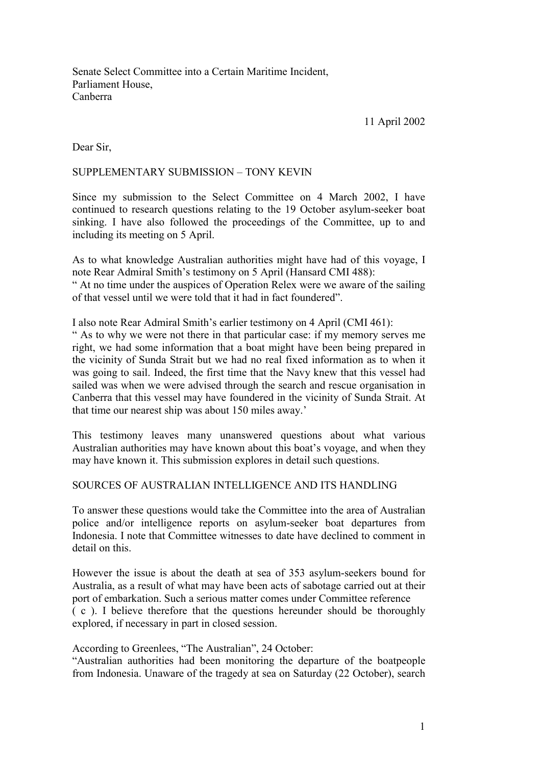Senate Select Committee into a Certain Maritime Incident, Parliament House, Canberra

11 April 2002

Dear Sir,

## SUPPLEMENTARY SUBMISSION - TONY KEVIN

Since my submission to the Select Committee on 4 March 2002, I have continued to research questions relating to the 19 October asylum-seeker boat sinking. I have also followed the proceedings of the Committee, up to and including its meeting on 5 April.

As to what knowledge Australian authorities might have had of this voyage, I note Rear Admiral Smith's testimony on 5 April (Hansard CMI 488):

ì At no time under the auspices of Operation Relex were we aware of the sailing of that vessel until we were told that it had in fact foundered".

I also note Rear Admiral Smith's earlier testimony on 4 April (CMI 461):

ì As to why we were not there in that particular case: if my memory serves me right, we had some information that a boat might have been being prepared in the vicinity of Sunda Strait but we had no real fixed information as to when it was going to sail. Indeed, the first time that the Navy knew that this vessel had sailed was when we were advised through the search and rescue organisation in Canberra that this vessel may have foundered in the vicinity of Sunda Strait. At that time our nearest ship was about 150 miles away.<sup>7</sup>

This testimony leaves many unanswered questions about what various Australian authorities may have known about this boat's voyage, and when they may have known it. This submission explores in detail such questions.

### SOURCES OF AUSTRALIAN INTELLIGENCE AND ITS HANDLING

To answer these questions would take the Committee into the area of Australian police and/or intelligence reports on asylum-seeker boat departures from Indonesia. I note that Committee witnesses to date have declined to comment in detail on this.

However the issue is about the death at sea of 353 asylum-seekers bound for Australia, as a result of what may have been acts of sabotage carried out at their port of embarkation. Such a serious matter comes under Committee reference ( c ). I believe therefore that the questions hereunder should be thoroughly explored, if necessary in part in closed session.

According to Greenlees, "The Australian", 24 October:

ìAustralian authorities had been monitoring the departure of the boatpeople from Indonesia. Unaware of the tragedy at sea on Saturday (22 October), search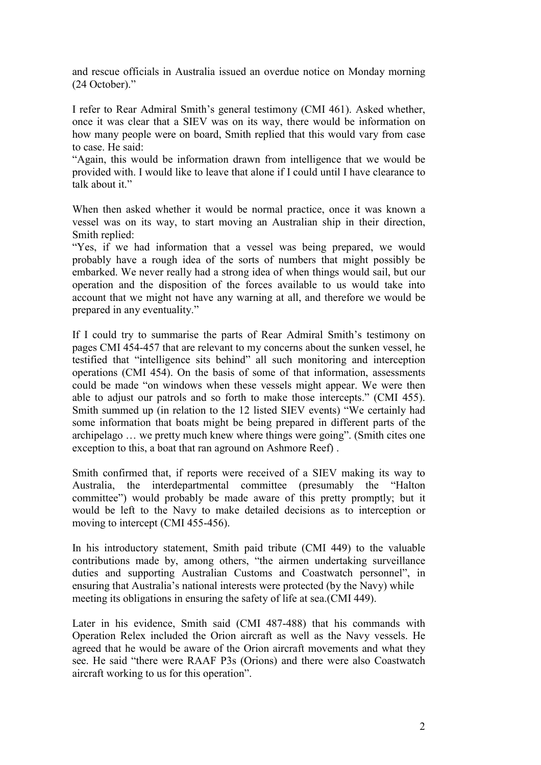and rescue officials in Australia issued an overdue notice on Monday morning  $(24$  October)."

I refer to Rear Admiral Smith's general testimony (CMI 461). Asked whether, once it was clear that a SIEV was on its way, there would be information on how many people were on board, Smith replied that this would vary from case to case. He said:

ìAgain, this would be information drawn from intelligence that we would be provided with. I would like to leave that alone if I could until I have clearance to talk about it.<sup>"</sup>

When then asked whether it would be normal practice, once it was known a vessel was on its way, to start moving an Australian ship in their direction, Smith replied:

"Yes, if we had information that a vessel was being prepared, we would probably have a rough idea of the sorts of numbers that might possibly be embarked. We never really had a strong idea of when things would sail, but our operation and the disposition of the forces available to us would take into account that we might not have any warning at all, and therefore we would be prepared in any eventuality."

If I could try to summarise the parts of Rear Admiral Smith's testimony on pages CMI 454-457 that are relevant to my concerns about the sunken vessel, he testified that "intelligence sits behind" all such monitoring and interception operations (CMI 454). On the basis of some of that information, assessments could be made "on windows when these vessels might appear. We were then able to adjust our patrols and so forth to make those intercepts." (CMI 455). Smith summed up (in relation to the 12 listed SIEV events) "We certainly had some information that boats might be being prepared in different parts of the archipelago ... we pretty much knew where things were going". (Smith cites one exception to this, a boat that ran aground on Ashmore Reef) .

Smith confirmed that, if reports were received of a SIEV making its way to Australia, the interdepartmental committee (presumably the "Halton committee") would probably be made aware of this pretty promptly; but it would be left to the Navy to make detailed decisions as to interception or moving to intercept (CMI 455-456).

In his introductory statement, Smith paid tribute (CMI 449) to the valuable contributions made by, among others, "the airmen undertaking surveillance duties and supporting Australian Customs and Coastwatch personnel", in ensuring that Australia's national interests were protected (by the Navy) while meeting its obligations in ensuring the safety of life at sea.(CMI 449).

Later in his evidence, Smith said (CMI 487-488) that his commands with Operation Relex included the Orion aircraft as well as the Navy vessels. He agreed that he would be aware of the Orion aircraft movements and what they see. He said "there were RAAF P3s (Orions) and there were also Coastwatch aircraft working to us for this operation".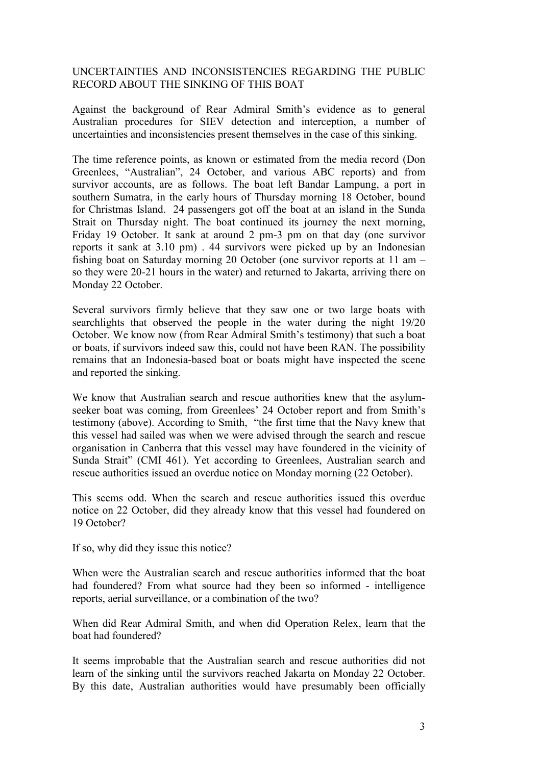# UNCERTAINTIES AND INCONSISTENCIES REGARDING THE PUBLIC RECORD ABOUT THE SINKING OF THIS BOAT

Against the background of Rear Admiral Smith's evidence as to general Australian procedures for SIEV detection and interception, a number of uncertainties and inconsistencies present themselves in the case of this sinking.

The time reference points, as known or estimated from the media record (Don Greenlees, "Australian", 24 October, and various ABC reports) and from survivor accounts, are as follows. The boat left Bandar Lampung, a port in southern Sumatra, in the early hours of Thursday morning 18 October, bound for Christmas Island. 24 passengers got off the boat at an island in the Sunda Strait on Thursday night. The boat continued its journey the next morning, Friday 19 October. It sank at around 2 pm-3 pm on that day (one survivor reports it sank at 3.10 pm) . 44 survivors were picked up by an Indonesian fishing boat on Saturday morning 20 October (one survivor reports at  $11 \text{ am}$ so they were 20-21 hours in the water) and returned to Jakarta, arriving there on Monday 22 October.

Several survivors firmly believe that they saw one or two large boats with searchlights that observed the people in the water during the night 19/20 October. We know now (from Rear Admiral Smith's testimony) that such a boat or boats, if survivors indeed saw this, could not have been RAN. The possibility remains that an Indonesia-based boat or boats might have inspected the scene and reported the sinking.

We know that Australian search and rescue authorities knew that the asylumseeker boat was coming, from Greenlees' 24 October report and from Smith's testimony (above). According to Smith, "the first time that the Navy knew that this vessel had sailed was when we were advised through the search and rescue organisation in Canberra that this vessel may have foundered in the vicinity of Sunda Strait" (CMI 461). Yet according to Greenlees, Australian search and rescue authorities issued an overdue notice on Monday morning (22 October).

This seems odd. When the search and rescue authorities issued this overdue notice on 22 October, did they already know that this vessel had foundered on 19 October?

If so, why did they issue this notice?

When were the Australian search and rescue authorities informed that the boat had foundered? From what source had they been so informed - intelligence reports, aerial surveillance, or a combination of the two?

When did Rear Admiral Smith, and when did Operation Relex, learn that the boat had foundered?

It seems improbable that the Australian search and rescue authorities did not learn of the sinking until the survivors reached Jakarta on Monday 22 October. By this date, Australian authorities would have presumably been officially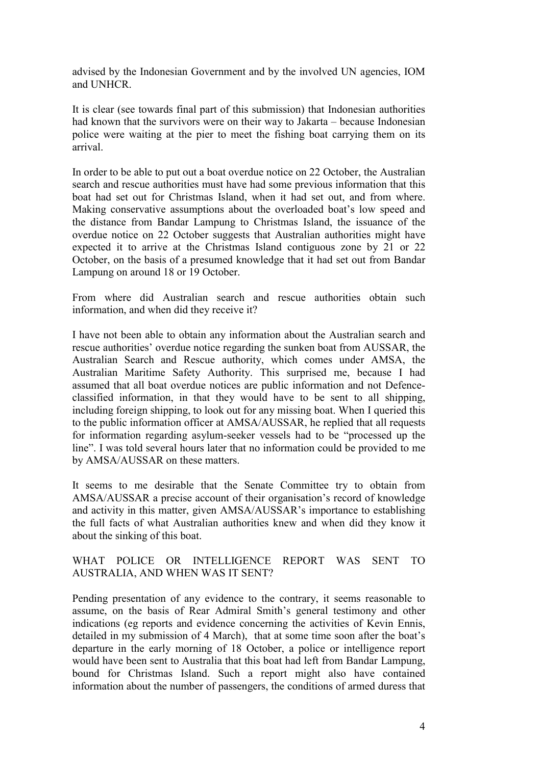advised by the Indonesian Government and by the involved UN agencies, IOM and UNHCR.

It is clear (see towards final part of this submission) that Indonesian authorities had known that the survivors were on their way to Jakarta  $-$  because Indonesian police were waiting at the pier to meet the fishing boat carrying them on its arrival.

In order to be able to put out a boat overdue notice on 22 October, the Australian search and rescue authorities must have had some previous information that this boat had set out for Christmas Island, when it had set out, and from where. Making conservative assumptions about the overloaded boat's low speed and the distance from Bandar Lampung to Christmas Island, the issuance of the overdue notice on 22 October suggests that Australian authorities might have expected it to arrive at the Christmas Island contiguous zone by 21 or 22 October, on the basis of a presumed knowledge that it had set out from Bandar Lampung on around 18 or 19 October.

From where did Australian search and rescue authorities obtain such information, and when did they receive it?

I have not been able to obtain any information about the Australian search and rescue authorities' overdue notice regarding the sunken boat from AUSSAR, the Australian Search and Rescue authority, which comes under AMSA, the Australian Maritime Safety Authority. This surprised me, because I had assumed that all boat overdue notices are public information and not Defenceclassified information, in that they would have to be sent to all shipping, including foreign shipping, to look out for any missing boat. When I queried this to the public information officer at AMSA/AUSSAR, he replied that all requests for information regarding asylum-seeker vessels had to be "processed up the line". I was told several hours later that no information could be provided to me by AMSA/AUSSAR on these matters.

It seems to me desirable that the Senate Committee try to obtain from AMSA/AUSSAR a precise account of their organisation's record of knowledge and activity in this matter, given AMSA/AUSSAR's importance to establishing the full facts of what Australian authorities knew and when did they know it about the sinking of this boat.

## WHAT POLICE OR INTELLIGENCE REPORT WAS SENT TO AUSTRALIA, AND WHEN WAS IT SENT?

Pending presentation of any evidence to the contrary, it seems reasonable to assume, on the basis of Rear Admiral Smith's general testimony and other indications (eg reports and evidence concerning the activities of Kevin Ennis, detailed in my submission of 4 March), that at some time soon after the boat's departure in the early morning of 18 October, a police or intelligence report would have been sent to Australia that this boat had left from Bandar Lampung, bound for Christmas Island. Such a report might also have contained information about the number of passengers, the conditions of armed duress that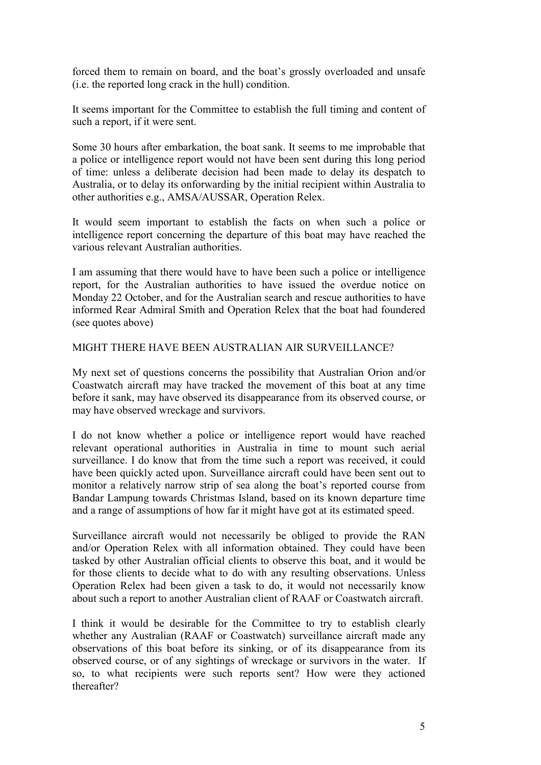forced them to remain on board, and the boat's grossly overloaded and unsafe (i.e. the reported long crack in the hull) condition.

It seems important for the Committee to establish the full timing and content of such a report, if it were sent.

Some 30 hours after embarkation, the boat sank. It seems to me improbable that a police or intelligence report would not have been sent during this long period of time: unless a deliberate decision had been made to delay its despatch to Australia, or to delay its onforwarding by the initial recipient within Australia to other authorities e.g., AMSA/AUSSAR, Operation Relex.

It would seem important to establish the facts on when such a police or intelligence report concerning the departure of this boat may have reached the various relevant Australian authorities.

I am assuming that there would have to have been such a police or intelligence report, for the Australian authorities to have issued the overdue notice on Monday 22 October, and for the Australian search and rescue authorities to have informed Rear Admiral Smith and Operation Relex that the boat had foundered (see quotes above)

MIGHT THERE HAVE BEEN AUSTRALIAN AIR SURVEILLANCE?

My next set of questions concerns the possibility that Australian Orion and/or Coastwatch aircraft may have tracked the movement of this boat at any time before it sank, may have observed its disappearance from its observed course, or may have observed wreckage and survivors.

I do not know whether a police or intelligence report would have reached relevant operational authorities in Australia in time to mount such aerial surveillance. I do know that from the time such a report was received, it could have been quickly acted upon. Surveillance aircraft could have been sent out to monitor a relatively narrow strip of sea along the boat's reported course from Bandar Lampung towards Christmas Island, based on its known departure time and a range of assumptions of how far it might have got at its estimated speed.

Surveillance aircraft would not necessarily be obliged to provide the RAN and/or Operation Relex with all information obtained. They could have been tasked by other Australian official clients to observe this boat, and it would be for those clients to decide what to do with any resulting observations. Unless Operation Relex had been given a task to do, it would not necessarily know about such a report to another Australian client of RAAF or Coastwatch aircraft.

I think it would be desirable for the Committee to try to establish clearly whether any Australian (RAAF or Coastwatch) surveillance aircraft made any observations of this boat before its sinking, or of its disappearance from its observed course, or of any sightings of wreckage or survivors in the water. If so, to what recipients were such reports sent? How were they actioned thereafter?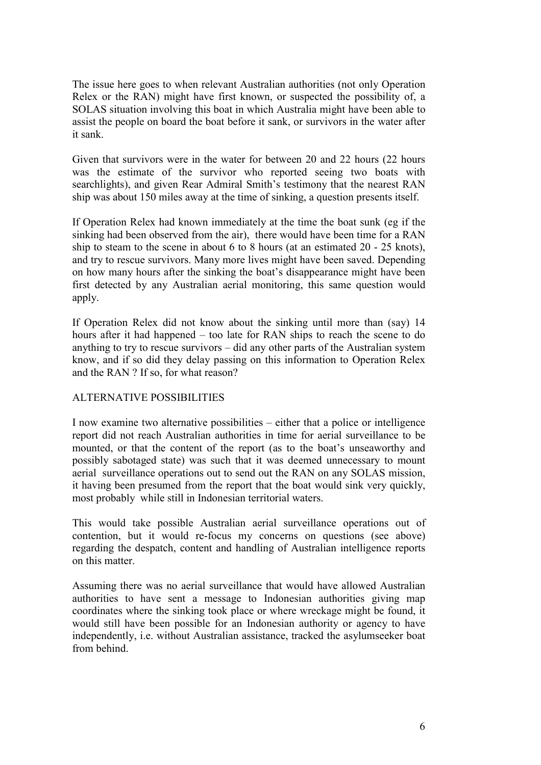The issue here goes to when relevant Australian authorities (not only Operation Relex or the RAN) might have first known, or suspected the possibility of, a SOLAS situation involving this boat in which Australia might have been able to assist the people on board the boat before it sank, or survivors in the water after it sank.

Given that survivors were in the water for between 20 and 22 hours (22 hours was the estimate of the survivor who reported seeing two boats with searchlights), and given Rear Admiral Smith's testimony that the nearest RAN ship was about 150 miles away at the time of sinking, a question presents itself.

If Operation Relex had known immediately at the time the boat sunk (eg if the sinking had been observed from the air), there would have been time for a RAN ship to steam to the scene in about 6 to 8 hours (at an estimated 20 - 25 knots), and try to rescue survivors. Many more lives might have been saved. Depending on how many hours after the sinking the boat's disappearance might have been first detected by any Australian aerial monitoring, this same question would apply.

If Operation Relex did not know about the sinking until more than (say) 14 hours after it had happened  $-$  too late for RAN ships to reach the scene to do anything to try to rescue survivors  $-\text{ did any other parts of the Australian system}$ know, and if so did they delay passing on this information to Operation Relex and the RAN ? If so, for what reason?

### ALTERNATIVE POSSIBILITIES

I now examine two alternative possibilities  $-\frac{1}{2}$  either that a police or intelligence report did not reach Australian authorities in time for aerial surveillance to be mounted, or that the content of the report (as to the boat's unseaworthy and possibly sabotaged state) was such that it was deemed unnecessary to mount aerial surveillance operations out to send out the RAN on any SOLAS mission, it having been presumed from the report that the boat would sink very quickly, most probably while still in Indonesian territorial waters.

This would take possible Australian aerial surveillance operations out of contention, but it would re-focus my concerns on questions (see above) regarding the despatch, content and handling of Australian intelligence reports on this matter.

Assuming there was no aerial surveillance that would have allowed Australian authorities to have sent a message to Indonesian authorities giving map coordinates where the sinking took place or where wreckage might be found, it would still have been possible for an Indonesian authority or agency to have independently, i.e. without Australian assistance, tracked the asylumseeker boat from behind.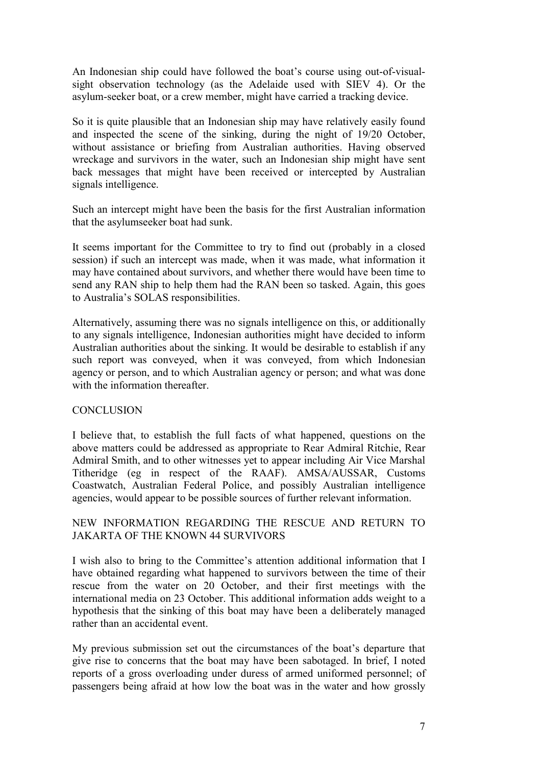An Indonesian ship could have followed the boat's course using out-of-visualsight observation technology (as the Adelaide used with SIEV 4). Or the asylum-seeker boat, or a crew member, might have carried a tracking device.

So it is quite plausible that an Indonesian ship may have relatively easily found and inspected the scene of the sinking, during the night of 19/20 October, without assistance or briefing from Australian authorities. Having observed wreckage and survivors in the water, such an Indonesian ship might have sent back messages that might have been received or intercepted by Australian signals intelligence.

Such an intercept might have been the basis for the first Australian information that the asylumseeker boat had sunk.

It seems important for the Committee to try to find out (probably in a closed session) if such an intercept was made, when it was made, what information it may have contained about survivors, and whether there would have been time to send any RAN ship to help them had the RAN been so tasked. Again, this goes to Australia's SOLAS responsibilities.

Alternatively, assuming there was no signals intelligence on this, or additionally to any signals intelligence, Indonesian authorities might have decided to inform Australian authorities about the sinking. It would be desirable to establish if any such report was conveyed, when it was conveyed, from which Indonesian agency or person, and to which Australian agency or person; and what was done with the information thereafter.

### **CONCLUSION**

I believe that, to establish the full facts of what happened, questions on the above matters could be addressed as appropriate to Rear Admiral Ritchie, Rear Admiral Smith, and to other witnesses yet to appear including Air Vice Marshal Titheridge (eg in respect of the RAAF). AMSA/AUSSAR, Customs Coastwatch, Australian Federal Police, and possibly Australian intelligence agencies, would appear to be possible sources of further relevant information.

# NEW INFORMATION REGARDING THE RESCUE AND RETURN TO JAKARTA OF THE KNOWN 44 SURVIVORS

I wish also to bring to the Committee's attention additional information that I have obtained regarding what happened to survivors between the time of their rescue from the water on 20 October, and their first meetings with the international media on 23 October. This additional information adds weight to a hypothesis that the sinking of this boat may have been a deliberately managed rather than an accidental event.

My previous submission set out the circumstances of the boat's departure that give rise to concerns that the boat may have been sabotaged. In brief, I noted reports of a gross overloading under duress of armed uniformed personnel; of passengers being afraid at how low the boat was in the water and how grossly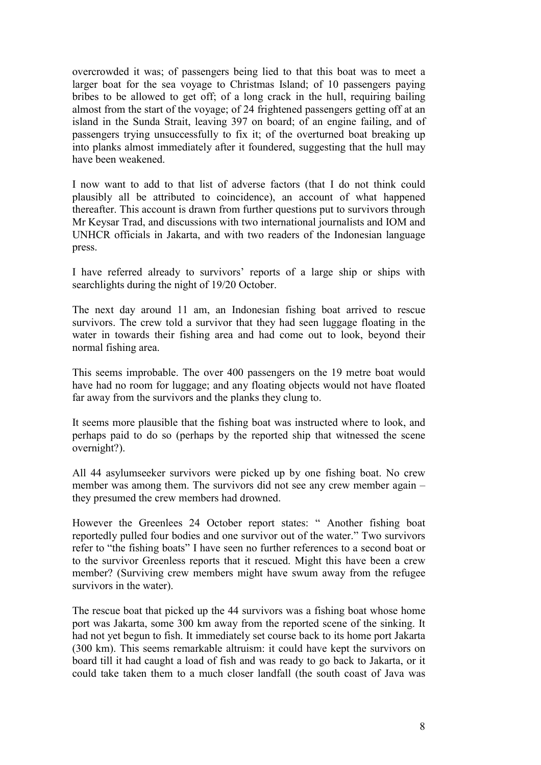overcrowded it was; of passengers being lied to that this boat was to meet a larger boat for the sea voyage to Christmas Island; of 10 passengers paying bribes to be allowed to get off; of a long crack in the hull, requiring bailing almost from the start of the voyage; of 24 frightened passengers getting off at an island in the Sunda Strait, leaving 397 on board; of an engine failing, and of passengers trying unsuccessfully to fix it; of the overturned boat breaking up into planks almost immediately after it foundered, suggesting that the hull may have been weakened.

I now want to add to that list of adverse factors (that I do not think could plausibly all be attributed to coincidence), an account of what happened thereafter. This account is drawn from further questions put to survivors through Mr Keysar Trad, and discussions with two international journalists and IOM and UNHCR officials in Jakarta, and with two readers of the Indonesian language press.

I have referred already to survivors' reports of a large ship or ships with searchlights during the night of 19/20 October.

The next day around 11 am, an Indonesian fishing boat arrived to rescue survivors. The crew told a survivor that they had seen luggage floating in the water in towards their fishing area and had come out to look, beyond their normal fishing area.

This seems improbable. The over 400 passengers on the 19 metre boat would have had no room for luggage; and any floating objects would not have floated far away from the survivors and the planks they clung to.

It seems more plausible that the fishing boat was instructed where to look, and perhaps paid to do so (perhaps by the reported ship that witnessed the scene overnight?).

All 44 asylumseeker survivors were picked up by one fishing boat. No crew member was among them. The survivors did not see any crew member again  $$ they presumed the crew members had drowned.

However the Greenlees 24 October report states: "Another fishing boat reportedly pulled four bodies and one survivor out of the water." Two survivors refer to "the fishing boats" I have seen no further references to a second boat or to the survivor Greenless reports that it rescued. Might this have been a crew member? (Surviving crew members might have swum away from the refugee survivors in the water).

The rescue boat that picked up the 44 survivors was a fishing boat whose home port was Jakarta, some 300 km away from the reported scene of the sinking. It had not yet begun to fish. It immediately set course back to its home port Jakarta (300 km). This seems remarkable altruism: it could have kept the survivors on board till it had caught a load of fish and was ready to go back to Jakarta, or it could take taken them to a much closer landfall (the south coast of Java was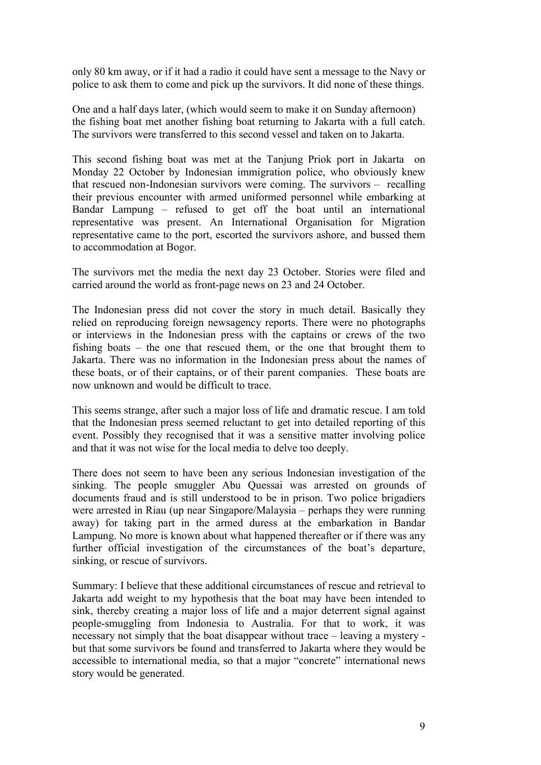only 80 km away, or if it had a radio it could have sent a message to the Navy or police to ask them to come and pick up the survivors. It did none of these things.

One and a half days later, (which would seem to make it on Sunday afternoon) the fishing boat met another fishing boat returning to Jakarta with a full catch. The survivors were transferred to this second vessel and taken on to Jakarta.

This second fishing boat was met at the Tanjung Priok port in Jakarta on Monday 22 October by Indonesian immigration police, who obviously knew that rescued non-Indonesian survivors were coming. The survivors  $-$  recalling their previous encounter with armed uniformed personnel while embarking at Bandar Lampung – refused to get off the boat until an international representative was present. An International Organisation for Migration representative came to the port, escorted the survivors ashore, and bussed them to accommodation at Bogor.

The survivors met the media the next day 23 October. Stories were filed and carried around the world as front-page news on 23 and 24 October.

The Indonesian press did not cover the story in much detail. Basically they relied on reproducing foreign newsagency reports. There were no photographs or interviews in the Indonesian press with the captains or crews of the two fishing boats  $-$  the one that rescued them, or the one that brought them to Jakarta. There was no information in the Indonesian press about the names of these boats, or of their captains, or of their parent companies. These boats are now unknown and would be difficult to trace.

This seems strange, after such a major loss of life and dramatic rescue. I am told that the Indonesian press seemed reluctant to get into detailed reporting of this event. Possibly they recognised that it was a sensitive matter involving police and that it was not wise for the local media to delve too deeply.

There does not seem to have been any serious Indonesian investigation of the sinking. The people smuggler Abu Quessai was arrested on grounds of documents fraud and is still understood to be in prison. Two police brigadiers were arrested in Riau (up near Singapore/Malaysia – perhaps they were running away) for taking part in the armed duress at the embarkation in Bandar Lampung. No more is known about what happened thereafter or if there was any further official investigation of the circumstances of the boat's departure, sinking, or rescue of survivors.

Summary: I believe that these additional circumstances of rescue and retrieval to Jakarta add weight to my hypothesis that the boat may have been intended to sink, thereby creating a major loss of life and a major deterrent signal against people-smuggling from Indonesia to Australia. For that to work, it was necessary not simply that the boat disappear without trace  $-$  leaving a mystery but that some survivors be found and transferred to Jakarta where they would be accessible to international media, so that a major "concrete" international news story would be generated.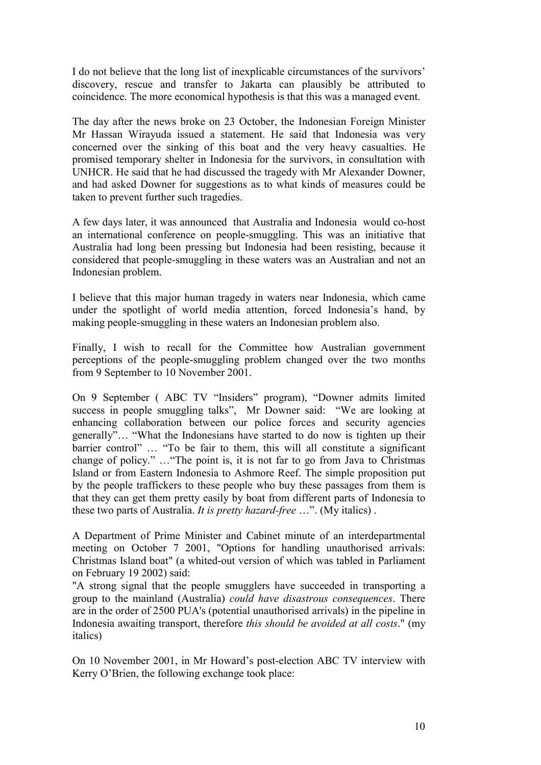I do not believe that the long list of inexplicable circumstances of the survivors' discovery, rescue and transfer to Jakarta can plausibly be attributed to coincidence. The more economical hypothesis is that this was a managed event.

The day after the news broke on 23 October, the Indonesian Foreign Minister Mr Hassan Wirayuda issued a statement. He said that Indonesia was very concerned over the sinking of this boat and the very heavy casualties. He promised temporary shelter in Indonesia for the survivors, in consultation with UNHCR. He said that he had discussed the tragedy with Mr Alexander Downer, and had asked Downer for suggestions as to what kinds of measures could be taken to prevent further such tragedies.

A few days later, it was announced that Australia and Indonesia would co-host an international conference on people-smuggling. This was an initiative that Australia had long been pressing but Indonesia had been resisting, because it considered that people-smuggling in these waters was an Australian and not an Indonesian problem.

I believe that this major human tragedy in waters near Indonesia, which came under the spotlight of world media attention, forced Indonesia's hand, by making people-smuggling in these waters an Indonesian problem also.

Finally, I wish to recall for the Committee how Australian government perceptions of the people-smuggling problem changed over the two months from 9 September to 10 November 2001.

On 9 September ( ABC TV "Insiders" program), "Downer admits limited success in people smuggling talks", Mr Downer said: "We are looking at enhancing collaboration between our police forces and security agencies generally"... "What the Indonesians have started to do now is tighten up their barrier control" ... "To be fair to them, this will all constitute a significant change of policy." ... "The point is, it is not far to go from Java to Christmas Island or from Eastern Indonesia to Ashmore Reef. The simple proposition put by the people traffickers to these people who buy these passages from them is that they can get them pretty easily by boat from different parts of Indonesia to these two parts of Australia. *It is pretty hazard-free* ...". (My italics).

A Department of Prime Minister and Cabinet minute of an interdepartmental meeting on October 7 2001, "Options for handling unauthorised arrivals: Christmas Island boat" (a whited-out version of which was tabled in Parliament on February 19 2002) said:

"A strong signal that the people smugglers have succeeded in transporting a group to the mainland (Australia) *could have disastrous consequences*. There are in the order of 2500 PUA's (potential unauthorised arrivals) in the pipeline in Indonesia awaiting transport, therefore *this should be avoided at all costs*." (my italics)

On 10 November 2001, in Mr Howard's post-election ABC TV interview with Kerry O'Brien, the following exchange took place: